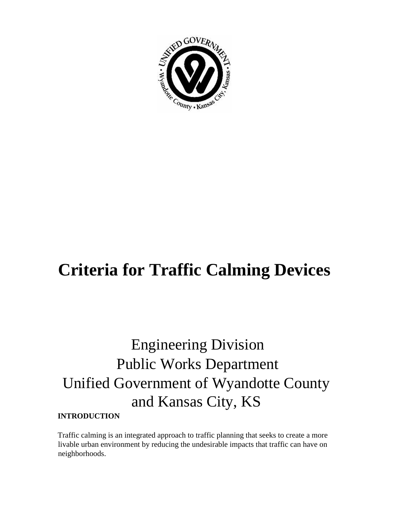

# **Criteria for Traffic Calming Devices**

# Engineering Division Public Works Department Unified Government of Wyandotte County and Kansas City, KS

## **INTRODUCTION**

Traffic calming is an integrated approach to traffic planning that seeks to create a more livable urban environment by reducing the undesirable impacts that traffic can have on neighborhoods.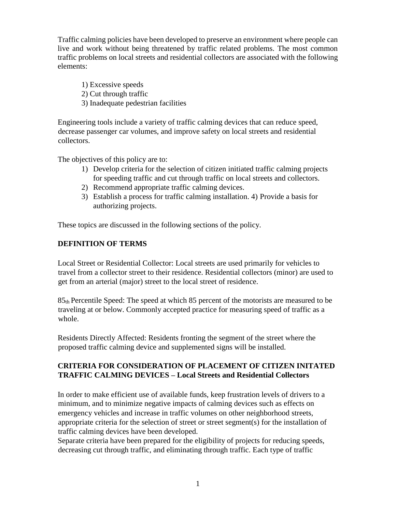Traffic calming policies have been developed to preserve an environment where people can live and work without being threatened by traffic related problems. The most common traffic problems on local streets and residential collectors are associated with the following elements:

1) Excessive speeds 2) Cut through traffic 3) Inadequate pedestrian facilities

Engineering tools include a variety of traffic calming devices that can reduce speed, decrease passenger car volumes, and improve safety on local streets and residential collectors.

The objectives of this policy are to:

- 1) Develop criteria for the selection of citizen initiated traffic calming projects for speeding traffic and cut through traffic on local streets and collectors.
- 2) Recommend appropriate traffic calming devices.
- 3) Establish a process for traffic calming installation. 4) Provide a basis for authorizing projects.

These topics are discussed in the following sections of the policy.

## **DEFINITION OF TERMS**

Local Street or Residential Collector: Local streets are used primarily for vehicles to travel from a collector street to their residence. Residential collectors (minor) are used to get from an arterial (major) street to the local street of residence.

85th Percentile Speed: The speed at which 85 percent of the motorists are measured to be traveling at or below. Commonly accepted practice for measuring speed of traffic as a whole.

Residents Directly Affected: Residents fronting the segment of the street where the proposed traffic calming device and supplemented signs will be installed.

### **CRITERIA FOR CONSIDERATION OF PLACEMENT OF CITIZEN INITATED TRAFFIC CALMING DEVICES – Local Streets and Residential Collectors**

In order to make efficient use of available funds, keep frustration levels of drivers to a minimum, and to minimize negative impacts of calming devices such as effects on emergency vehicles and increase in traffic volumes on other neighborhood streets, appropriate criteria for the selection of street or street segment(s) for the installation of traffic calming devices have been developed.

Separate criteria have been prepared for the eligibility of projects for reducing speeds, decreasing cut through traffic, and eliminating through traffic. Each type of traffic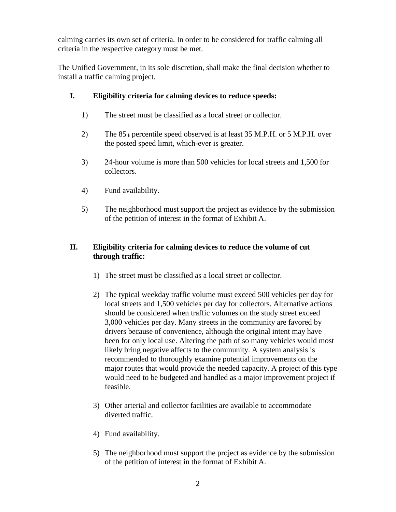calming carries its own set of criteria. In order to be considered for traffic calming all criteria in the respective category must be met.

The Unified Government, in its sole discretion, shall make the final decision whether to install a traffic calming project.

## **I. Eligibility criteria for calming devices to reduce speeds:**

- 1) The street must be classified as a local street or collector.
- 2) The 85th percentile speed observed is at least 35 M.P.H. or 5 M.P.H. over the posted speed limit, which-ever is greater.
- 3) 24-hour volume is more than 500 vehicles for local streets and 1,500 for collectors.
- 4) Fund availability.
- 5) The neighborhood must support the project as evidence by the submission of the petition of interest in the format of Exhibit A.

## **II. Eligibility criteria for calming devices to reduce the volume of cut through traffic:**

- 1) The street must be classified as a local street or collector.
- 2) The typical weekday traffic volume must exceed 500 vehicles per day for local streets and 1,500 vehicles per day for collectors. Alternative actions should be considered when traffic volumes on the study street exceed 3,000 vehicles per day. Many streets in the community are favored by drivers because of convenience, although the original intent may have been for only local use. Altering the path of so many vehicles would most likely bring negative affects to the community. A system analysis is recommended to thoroughly examine potential improvements on the major routes that would provide the needed capacity. A project of this type would need to be budgeted and handled as a major improvement project if feasible.
- 3) Other arterial and collector facilities are available to accommodate diverted traffic.
- 4) Fund availability.
- 5) The neighborhood must support the project as evidence by the submission of the petition of interest in the format of Exhibit A.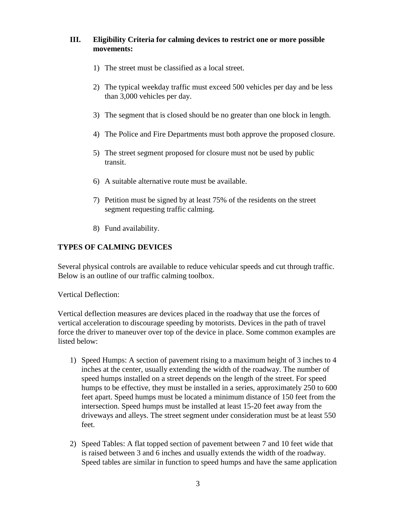#### **III. Eligibility Criteria for calming devices to restrict one or more possible movements:**

- 1) The street must be classified as a local street.
- 2) The typical weekday traffic must exceed 500 vehicles per day and be less than 3,000 vehicles per day.
- 3) The segment that is closed should be no greater than one block in length.
- 4) The Police and Fire Departments must both approve the proposed closure.
- 5) The street segment proposed for closure must not be used by public transit.
- 6) A suitable alternative route must be available.
- 7) Petition must be signed by at least 75% of the residents on the street segment requesting traffic calming.
- 8) Fund availability.

#### **TYPES OF CALMING DEVICES**

Several physical controls are available to reduce vehicular speeds and cut through traffic. Below is an outline of our traffic calming toolbox.

Vertical Deflection:

Vertical deflection measures are devices placed in the roadway that use the forces of vertical acceleration to discourage speeding by motorists. Devices in the path of travel force the driver to maneuver over top of the device in place. Some common examples are listed below:

- 1) Speed Humps: A section of pavement rising to a maximum height of 3 inches to 4 inches at the center, usually extending the width of the roadway. The number of speed humps installed on a street depends on the length of the street. For speed humps to be effective, they must be installed in a series, approximately 250 to 600 feet apart. Speed humps must be located a minimum distance of 150 feet from the intersection. Speed humps must be installed at least 15-20 feet away from the driveways and alleys. The street segment under consideration must be at least 550 feet.
- 2) Speed Tables: A flat topped section of pavement between 7 and 10 feet wide that is raised between 3 and 6 inches and usually extends the width of the roadway. Speed tables are similar in function to speed humps and have the same application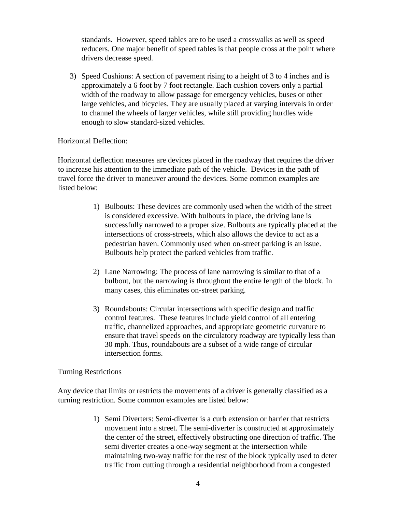standards. However, speed tables are to be used a crosswalks as well as speed reducers. One major benefit of speed tables is that people cross at the point where drivers decrease speed.

3) Speed Cushions: A section of pavement rising to a height of 3 to 4 inches and is approximately a 6 foot by 7 foot rectangle. Each cushion covers only a partial width of the roadway to allow passage for emergency vehicles, buses or other large vehicles, and bicycles. They are usually placed at varying intervals in order to channel the wheels of larger vehicles, while still providing hurdles wide enough to slow standard-sized vehicles.

#### Horizontal Deflection:

Horizontal deflection measures are devices placed in the roadway that requires the driver to increase his attention to the immediate path of the vehicle. Devices in the path of travel force the driver to maneuver around the devices. Some common examples are listed below:

- 1) Bulbouts: These devices are commonly used when the width of the street is considered excessive. With bulbouts in place, the driving lane is successfully narrowed to a proper size. Bulbouts are typically placed at the intersections of cross-streets, which also allows the device to act as a pedestrian haven. Commonly used when on-street parking is an issue. Bulbouts help protect the parked vehicles from traffic.
- 2) Lane Narrowing: The process of lane narrowing is similar to that of a bulbout, but the narrowing is throughout the entire length of the block. In many cases, this eliminates on-street parking.
- 3) Roundabouts: Circular intersections with specific design and traffic control features. These features include yield control of all entering traffic, channelized approaches, and appropriate geometric curvature to ensure that travel speeds on the circulatory roadway are typically less than 30 mph. Thus, roundabouts are a subset of a wide range of circular intersection forms.

#### Turning Restrictions

Any device that limits or restricts the movements of a driver is generally classified as a turning restriction. Some common examples are listed below:

> 1) Semi Diverters: Semi-diverter is a curb extension or barrier that restricts movement into a street. The semi-diverter is constructed at approximately the center of the street, effectively obstructing one direction of traffic. The semi diverter creates a one-way segment at the intersection while maintaining two-way traffic for the rest of the block typically used to deter traffic from cutting through a residential neighborhood from a congested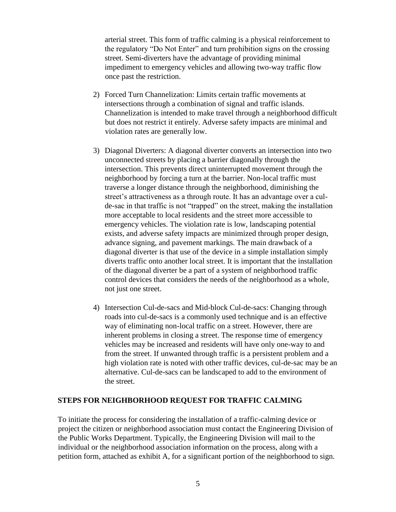arterial street. This form of traffic calming is a physical reinforcement to the regulatory "Do Not Enter" and turn prohibition signs on the crossing street. Semi-diverters have the advantage of providing minimal impediment to emergency vehicles and allowing two-way traffic flow once past the restriction.

- 2) Forced Turn Channelization: Limits certain traffic movements at intersections through a combination of signal and traffic islands. Channelization is intended to make travel through a neighborhood difficult but does not restrict it entirely. Adverse safety impacts are minimal and violation rates are generally low.
- 3) Diagonal Diverters: A diagonal diverter converts an intersection into two unconnected streets by placing a barrier diagonally through the intersection. This prevents direct uninterrupted movement through the neighborhood by forcing a turn at the barrier. Non-local traffic must traverse a longer distance through the neighborhood, diminishing the street's attractiveness as a through route. It has an advantage over a culde-sac in that traffic is not "trapped" on the street, making the installation more acceptable to local residents and the street more accessible to emergency vehicles. The violation rate is low, landscaping potential exists, and adverse safety impacts are minimized through proper design, advance signing, and pavement markings. The main drawback of a diagonal diverter is that use of the device in a simple installation simply diverts traffic onto another local street. It is important that the installation of the diagonal diverter be a part of a system of neighborhood traffic control devices that considers the needs of the neighborhood as a whole, not just one street.
- 4) Intersection Cul-de-sacs and Mid-block Cul-de-sacs: Changing through roads into cul-de-sacs is a commonly used technique and is an effective way of eliminating non-local traffic on a street. However, there are inherent problems in closing a street. The response time of emergency vehicles may be increased and residents will have only one-way to and from the street. If unwanted through traffic is a persistent problem and a high violation rate is noted with other traffic devices, cul-de-sac may be an alternative. Cul-de-sacs can be landscaped to add to the environment of the street.

#### **STEPS FOR NEIGHBORHOOD REQUEST FOR TRAFFIC CALMING**

To initiate the process for considering the installation of a traffic-calming device or project the citizen or neighborhood association must contact the Engineering Division of the Public Works Department. Typically, the Engineering Division will mail to the individual or the neighborhood association information on the process, along with a petition form, attached as exhibit A, for a significant portion of the neighborhood to sign.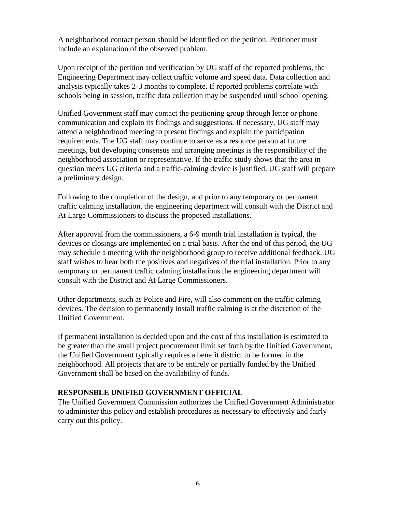A neighborhood contact person should be identified on the petition. Petitioner must include an explanation of the observed problem.

Upon receipt of the petition and verification by UG staff of the reported problems, the Engineering Department may collect traffic volume and speed data. Data collection and analysis typically takes 2-3 months to complete. If reported problems correlate with schools being in session, traffic data collection may be suspended until school opening.

Unified Government staff may contact the petitioning group through letter or phone communication and explain its findings and suggestions. If necessary, UG staff may attend a neighborhood meeting to present findings and explain the participation requirements. The UG staff may continue to serve as a resource person at future meetings, but developing consensus and arranging meetings is the responsibility of the neighborhood association or representative. If the traffic study shows that the area in question meets UG criteria and a traffic-calming device is justified, UG staff will prepare a preliminary design.

Following to the completion of the design, and prior to any temporary or permanent traffic calming installation, the engineering department will consult with the District and At Large Commissioners to discuss the proposed installations.

After approval from the commissioners, a 6-9 month trial installation is typical, the devices or closings are implemented on a trial basis. After the end of this period, the UG may schedule a meeting with the neighborhood group to receive additional feedback. UG staff wishes to hear both the positives and negatives of the trial installation. Prior to any temporary or permanent traffic calming installations the engineering department will consult with the District and At Large Commissioners.

Other departments, such as Police and Fire, will also comment on the traffic calming devices. The decision to permanently install traffic calming is at the discretion of the Unified Government.

If permanent installation is decided upon and the cost of this installation is estimated to be greater than the small project procurement limit set forth by the Unified Government, the Unified Government typically requires a benefit district to be formed in the neighborhood. All projects that are to be entirely or partially funded by the Unified Government shall be based on the availability of funds.

#### **RESPONSBLE UNIFIED GOVERNMENT OFFICIAL**

The Unified Government Commission authorizes the Unified Government Administrator to administer this policy and establish procedures as necessary to effectively and fairly carry out this policy.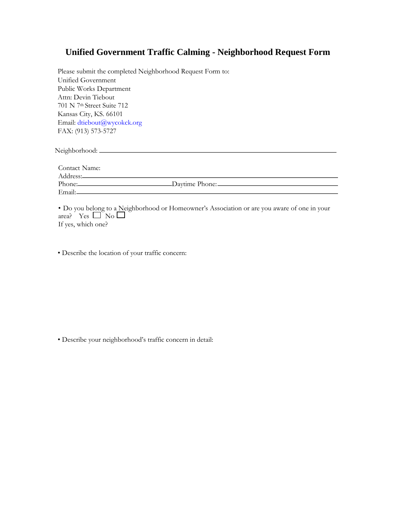## **Unified Government Traffic Calming - Neighborhood Request Form**

Please submit the completed Neighborhood Request Form to: Unified Government Public Works Department Attn: Devin Tiebout 701 N 7th Street Suite 712 Kansas City, KS. 66101 Email: dtiebout@wycokck.org FAX: (913) 573-5727

| Contact Name:                                                                                                                                                                                                                  |                |  |
|--------------------------------------------------------------------------------------------------------------------------------------------------------------------------------------------------------------------------------|----------------|--|
|                                                                                                                                                                                                                                |                |  |
| Phone: 2000 Phone: 2000 Phone: 2000 Phone: 2000 Phone: 2000 Phone: 2000 Phone: 2000 Phone: 2000 Phone: 2000 Phone: 2000 Phone: 2000 Phone: 2000 Phone: 2000 Phone: 2000 Phone: 2000 Phone: 2000 Phone: 2000 Phone: 2000 Phone: | Daytime Phone: |  |
|                                                                                                                                                                                                                                |                |  |

• Do you belong to a Neighborhood or Homeowner's Association or are you aware of one in your area? Yes  $\Box$  No  $\Box$ If yes, which one?

• Describe the location of your traffic concern:

• Describe your neighborhood's traffic concern in detail: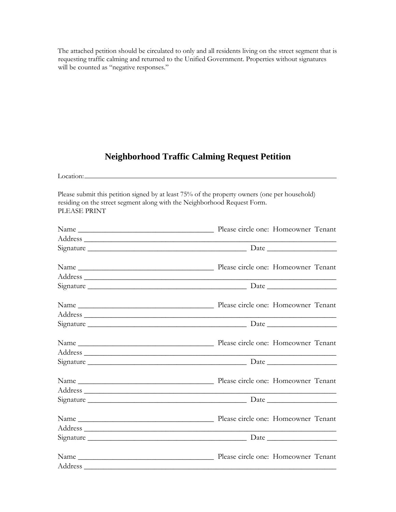The attached petition should be circulated to only and all residents living on the street segment that is requesting traffic calming and returned to the Unified Government. Properties without signatures will be counted as "negative responses."

# **Neighborhood Traffic Calming Request Petition**

| residing on the street segment along with the Neighborhood Request Form.<br>PLEASE PRINT | Please submit this petition signed by at least 75% of the property owners (one per household) |  |
|------------------------------------------------------------------------------------------|-----------------------------------------------------------------------------------------------|--|
|                                                                                          |                                                                                               |  |
|                                                                                          |                                                                                               |  |
|                                                                                          |                                                                                               |  |
|                                                                                          |                                                                                               |  |
|                                                                                          |                                                                                               |  |
|                                                                                          |                                                                                               |  |
|                                                                                          |                                                                                               |  |
|                                                                                          |                                                                                               |  |
|                                                                                          |                                                                                               |  |
|                                                                                          |                                                                                               |  |
|                                                                                          |                                                                                               |  |
|                                                                                          |                                                                                               |  |
| Name                                                                                     | Please circle one: Homeowner Tenant                                                           |  |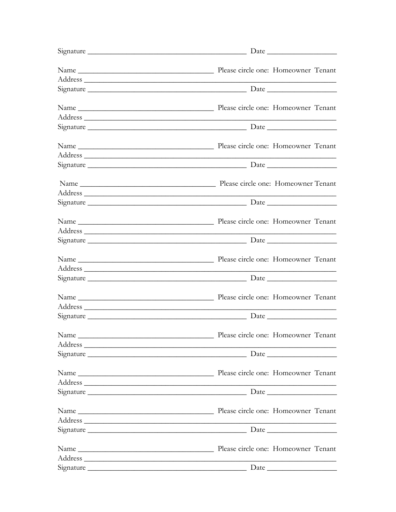|                                                                                                                                                                                                                                | $Signature \_\_\_\_\_\_$                                                                                                                                                                                                       |
|--------------------------------------------------------------------------------------------------------------------------------------------------------------------------------------------------------------------------------|--------------------------------------------------------------------------------------------------------------------------------------------------------------------------------------------------------------------------------|
|                                                                                                                                                                                                                                |                                                                                                                                                                                                                                |
| Address and the contract of the contract of the contract of the contract of the contract of the contract of the contract of the contract of the contract of the contract of the contract of the contract of the contract of th |                                                                                                                                                                                                                                |
|                                                                                                                                                                                                                                |                                                                                                                                                                                                                                |
|                                                                                                                                                                                                                                |                                                                                                                                                                                                                                |
|                                                                                                                                                                                                                                | Address experiences and the second contract of the second contract of the second contract of the second contract of the second contract of the second contract of the second contract of the second contract of the second con |
|                                                                                                                                                                                                                                |                                                                                                                                                                                                                                |
|                                                                                                                                                                                                                                |                                                                                                                                                                                                                                |
|                                                                                                                                                                                                                                | Address and the contract of the contract of the contract of the contract of the contract of the contract of the contract of the contract of the contract of the contract of the contract of the contract of the contract of th |
|                                                                                                                                                                                                                                |                                                                                                                                                                                                                                |
|                                                                                                                                                                                                                                |                                                                                                                                                                                                                                |
|                                                                                                                                                                                                                                | Address and the contract of the contract of the contract of the contract of the contract of the contract of the contract of the contract of the contract of the contract of the contract of the contract of the contract of th |
|                                                                                                                                                                                                                                |                                                                                                                                                                                                                                |
|                                                                                                                                                                                                                                |                                                                                                                                                                                                                                |
| Address and the contract of the contract of the contract of the contract of the contract of the contract of the contract of the contract of the contract of the contract of the contract of the contract of the contract of th |                                                                                                                                                                                                                                |
|                                                                                                                                                                                                                                |                                                                                                                                                                                                                                |
|                                                                                                                                                                                                                                |                                                                                                                                                                                                                                |
|                                                                                                                                                                                                                                |                                                                                                                                                                                                                                |
|                                                                                                                                                                                                                                |                                                                                                                                                                                                                                |
| Name                                                                                                                                                                                                                           | Please circle one: Homeowner Tenant                                                                                                                                                                                            |
|                                                                                                                                                                                                                                | Address experiences and the set of the set of the set of the set of the set of the set of the set of the set of the set of the set of the set of the set of the set of the set of the set of the set of the set of the set of  |
|                                                                                                                                                                                                                                |                                                                                                                                                                                                                                |
|                                                                                                                                                                                                                                |                                                                                                                                                                                                                                |
|                                                                                                                                                                                                                                | Address and the contract of the contract of the contract of the contract of the contract of the contract of the contract of the contract of the contract of the contract of the contract of the contract of the contract of th |
|                                                                                                                                                                                                                                |                                                                                                                                                                                                                                |
|                                                                                                                                                                                                                                |                                                                                                                                                                                                                                |
|                                                                                                                                                                                                                                | Address experiences and the set of the set of the set of the set of the set of the set of the set of the set of the set of the set of the set of the set of the set of the set of the set of the set of the set of the set of  |
|                                                                                                                                                                                                                                |                                                                                                                                                                                                                                |
|                                                                                                                                                                                                                                |                                                                                                                                                                                                                                |
|                                                                                                                                                                                                                                |                                                                                                                                                                                                                                |
|                                                                                                                                                                                                                                |                                                                                                                                                                                                                                |
|                                                                                                                                                                                                                                |                                                                                                                                                                                                                                |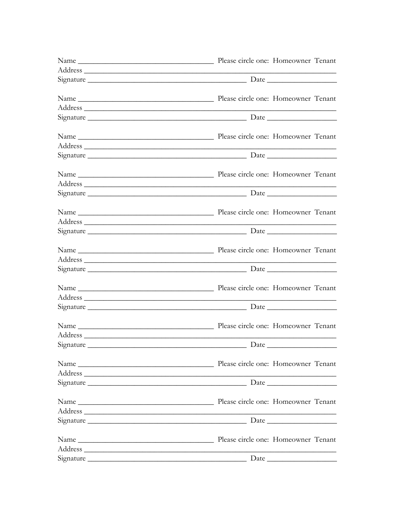| Signature |  |  |  |
|-----------|--|--|--|
|           |  |  |  |
|           |  |  |  |
|           |  |  |  |
|           |  |  |  |
|           |  |  |  |
|           |  |  |  |
|           |  |  |  |
|           |  |  |  |
|           |  |  |  |